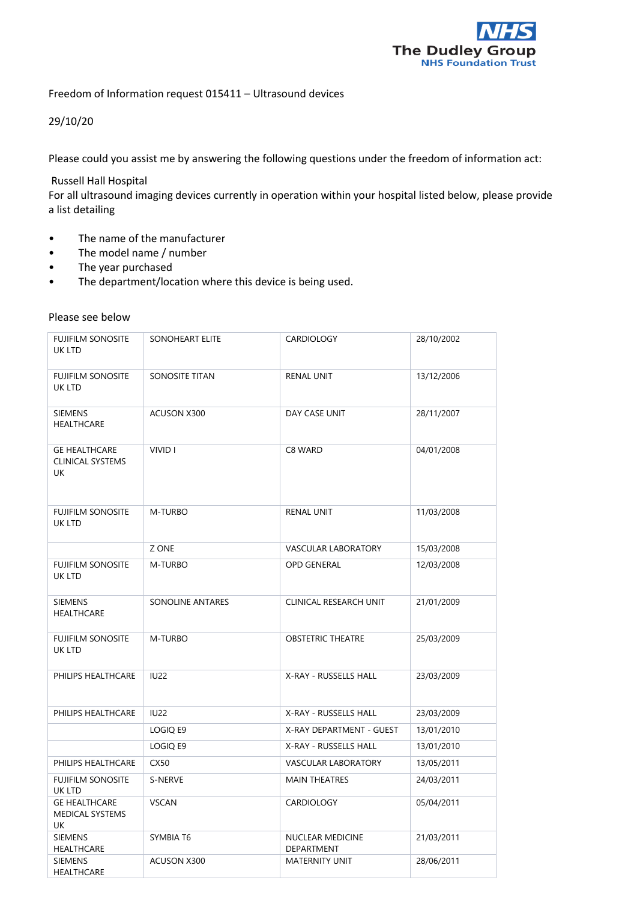

Freedom of Information request 015411 – Ultrasound devices

## 29/10/20

Please could you assist me by answering the following questions under the freedom of information act:

## Russell Hall Hospital

For all ultrasound imaging devices currently in operation within your hospital listed below, please provide a list detailing

- The name of the manufacturer
- The model name / number
- The year purchased
- The department/location where this device is being used.

## Please see below

| <b>FUJIFILM SONOSITE</b><br>UK LTD                    | SONOHEART ELITE  | <b>CARDIOLOGY</b>              | 28/10/2002 |
|-------------------------------------------------------|------------------|--------------------------------|------------|
| <b>FUJIFILM SONOSITE</b><br>UK LTD                    | SONOSITE TITAN   | <b>RENAL UNIT</b>              | 13/12/2006 |
| <b>SIEMENS</b><br><b>HEALTHCARE</b>                   | ACUSON X300      | DAY CASE UNIT                  | 28/11/2007 |
| <b>GE HEALTHCARE</b><br><b>CLINICAL SYSTEMS</b><br>UK | VIVID I          | C8 WARD                        | 04/01/2008 |
| <b>FUJIFILM SONOSITE</b><br>UK LTD                    | M-TURBO          | <b>RENAL UNIT</b>              | 11/03/2008 |
|                                                       | Z ONE            | <b>VASCULAR LABORATORY</b>     | 15/03/2008 |
| <b>FUJIFILM SONOSITE</b><br>UK LTD                    | M-TURBO          | <b>OPD GENERAL</b>             | 12/03/2008 |
| <b>SIEMENS</b><br><b>HEALTHCARE</b>                   | SONOLINE ANTARES | CLINICAL RESEARCH UNIT         | 21/01/2009 |
| <b>FUJIFILM SONOSITE</b><br>UK LTD                    | M-TURBO          | <b>OBSTETRIC THEATRE</b>       | 25/03/2009 |
| PHILIPS HEALTHCARE                                    | <b>IU22</b>      | X-RAY - RUSSELLS HALL          | 23/03/2009 |
| PHILIPS HEALTHCARE                                    | <b>IU22</b>      | X-RAY - RUSSELLS HALL          | 23/03/2009 |
|                                                       | LOGIQ E9         | X-RAY DEPARTMENT - GUEST       | 13/01/2010 |
|                                                       | LOGIQ E9         | X-RAY - RUSSELLS HALL          | 13/01/2010 |
| PHILIPS HEALTHCARE                                    | CX50             | VASCULAR LABORATORY            | 13/05/2011 |
| <b>FUJIFILM SONOSITE</b><br>UK LTD                    | S-NERVE          | <b>MAIN THEATRES</b>           | 24/03/2011 |
| <b>GE HEALTHCARE</b><br><b>MEDICAL SYSTEMS</b><br>UK  | <b>VSCAN</b>     | CARDIOLOGY                     | 05/04/2011 |
| <b>SIEMENS</b><br><b>HEALTHCARE</b>                   | SYMBIA T6        | NUCLEAR MEDICINE<br>DEPARTMENT | 21/03/2011 |
| <b>SIEMENS</b><br><b>HEALTHCARE</b>                   | ACUSON X300      | <b>MATERNITY UNIT</b>          | 28/06/2011 |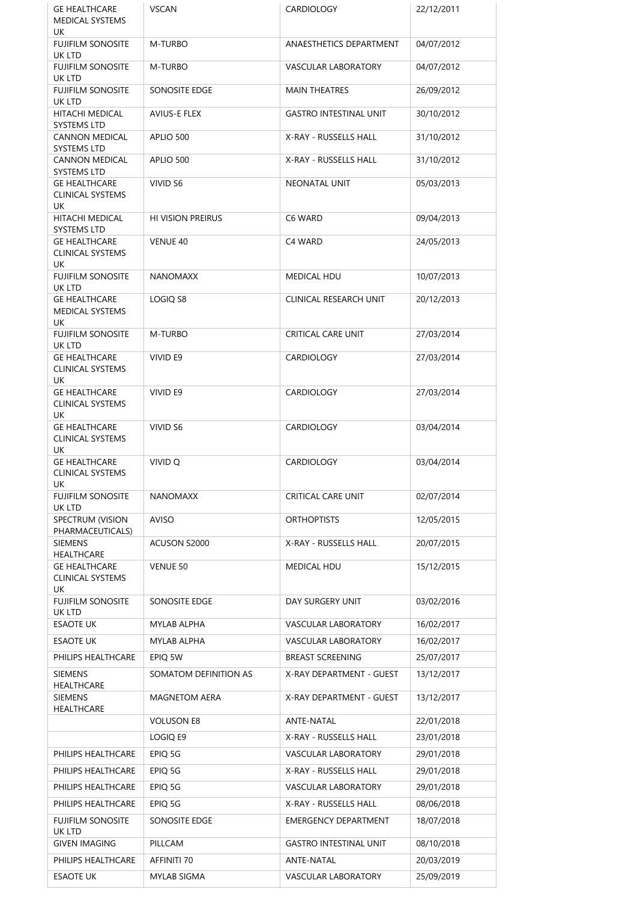| <b>GE HEALTHCARE</b>                                  | <b>VSCAN</b>             | <b>CARDIOLOGY</b>             | 22/12/2011 |
|-------------------------------------------------------|--------------------------|-------------------------------|------------|
| <b>MEDICAL SYSTEMS</b><br>UK                          |                          |                               |            |
| <b>FUJIFILM SONOSITE</b>                              | M-TURBO                  | ANAESTHETICS DEPARTMENT       | 04/07/2012 |
| UK LTD<br><b>FUJIFILM SONOSITE</b>                    | M-TURBO                  | <b>VASCULAR LABORATORY</b>    | 04/07/2012 |
| UK LTD<br><b>FUJIFILM SONOSITE</b>                    | SONOSITE EDGE            | <b>MAIN THEATRES</b>          | 26/09/2012 |
| UK LTD<br>HITACHI MEDICAL                             | <b>AVIUS-E FLEX</b>      | <b>GASTRO INTESTINAL UNIT</b> | 30/10/2012 |
| SYSTEMS LTD                                           |                          |                               |            |
| <b>CANNON MEDICAL</b><br><b>SYSTEMS LTD</b>           | APLIO 500                | X-RAY - RUSSELLS HALL         | 31/10/2012 |
| <b>CANNON MEDICAL</b><br><b>SYSTEMS LTD</b>           | APLIO 500                | X-RAY - RUSSELLS HALL         | 31/10/2012 |
| <b>GE HEALTHCARE</b>                                  | VIVID S6                 | NEONATAL UNIT                 | 05/03/2013 |
| <b>CLINICAL SYSTEMS</b><br>UK                         |                          |                               |            |
| HITACHI MEDICAL<br><b>SYSTEMS LTD</b>                 | <b>HI VISION PREIRUS</b> | C6 WARD                       | 09/04/2013 |
| <b>GE HEALTHCARE</b>                                  | VENUE 40                 | C4 WARD                       | 24/05/2013 |
| <b>CLINICAL SYSTEMS</b><br>UK                         |                          |                               |            |
| <b>FUJIFILM SONOSITE</b><br>UK LTD                    | <b>NANOMAXX</b>          | <b>MEDICAL HDU</b>            | 10/07/2013 |
| <b>GE HEALTHCARE</b><br><b>MEDICAL SYSTEMS</b>        | LOGIQ S8                 | CLINICAL RESEARCH UNIT        | 20/12/2013 |
| UK                                                    |                          |                               |            |
| <b>FUJIFILM SONOSITE</b><br>UK LTD                    | M-TURBO                  | <b>CRITICAL CARE UNIT</b>     | 27/03/2014 |
| <b>GE HEALTHCARE</b><br><b>CLINICAL SYSTEMS</b>       | VIVID E9                 | <b>CARDIOLOGY</b>             | 27/03/2014 |
| UK                                                    |                          |                               |            |
| <b>GE HEALTHCARE</b><br><b>CLINICAL SYSTEMS</b><br>UK | VIVID E9                 | <b>CARDIOLOGY</b>             | 27/03/2014 |
| <b>GE HEALTHCARE</b>                                  | VIVID S6                 | <b>CARDIOLOGY</b>             | 03/04/2014 |
| <b>CLINICAL SYSTEMS</b><br>UK                         |                          |                               |            |
| <b>GE HEALTHCARE</b><br><b>CLINICAL SYSTEMS</b>       | VIVID Q                  | <b>CARDIOLOGY</b>             | 03/04/2014 |
| UK<br>FUJIFILM SONOSITE                               | <b>NANOMAXX</b>          | <b>CRITICAL CARE UNIT</b>     | 02/07/2014 |
| UK LTD<br>SPECTRUM (VISION                            | AVISO                    | <b>ORTHOPTISTS</b>            | 12/05/2015 |
| PHARMACEUTICALS)                                      |                          |                               |            |
| <b>SIEMENS</b><br>HEALTHCARE                          | ACUSON S2000             | X-RAY - RUSSELLS HALL         | 20/07/2015 |
| <b>GE HEALTHCARE</b><br><b>CLINICAL SYSTEMS</b><br>UK | VENUE 50                 | <b>MEDICAL HDU</b>            | 15/12/2015 |
| <b>FUJIFILM SONOSITE</b>                              | SONOSITE EDGE            | DAY SURGERY UNIT              | 03/02/2016 |
| UK LTD<br><b>ESAOTE UK</b>                            | MYLAB ALPHA              | VASCULAR LABORATORY           | 16/02/2017 |
| <b>ESAOTE UK</b>                                      | MYLAB ALPHA              | <b>VASCULAR LABORATORY</b>    | 16/02/2017 |
| PHILIPS HEALTHCARE                                    | EPIQ 5W                  | <b>BREAST SCREENING</b>       | 25/07/2017 |
| <b>SIEMENS</b>                                        | SOMATOM DEFINITION AS    | X-RAY DEPARTMENT - GUEST      | 13/12/2017 |
| HEALTHCARE<br>SIEMENS                                 | <b>MAGNETOM AERA</b>     | X-RAY DEPARTMENT - GUEST      | 13/12/2017 |
| HEALTHCARE                                            | <b>VOLUSON E8</b>        | ANTE-NATAL                    | 22/01/2018 |
|                                                       | LOGIQ E9                 | X-RAY - RUSSELLS HALL         | 23/01/2018 |
| PHILIPS HEALTHCARE                                    | EPIQ 5G                  | VASCULAR LABORATORY           | 29/01/2018 |
| PHILIPS HEALTHCARE                                    | EPIQ 5G                  | X-RAY - RUSSELLS HALL         | 29/01/2018 |
| PHILIPS HEALTHCARE                                    | EPIQ 5G                  | VASCULAR LABORATORY           | 29/01/2018 |
| PHILIPS HEALTHCARE                                    | EPIQ 5G                  | X-RAY - RUSSELLS HALL         | 08/06/2018 |
| <b>FUJIFILM SONOSITE</b>                              | SONOSITE EDGE            | <b>EMERGENCY DEPARTMENT</b>   | 18/07/2018 |
| UK LTD<br><b>GIVEN IMAGING</b>                        | PILLCAM                  | <b>GASTRO INTESTINAL UNIT</b> | 08/10/2018 |
| PHILIPS HEALTHCARE                                    | AFFINITI 70              | ANTE-NATAL                    | 20/03/2019 |
| <b>ESAOTE UK</b>                                      | MYLAB SIGMA              | VASCULAR LABORATORY           | 25/09/2019 |
|                                                       |                          |                               |            |